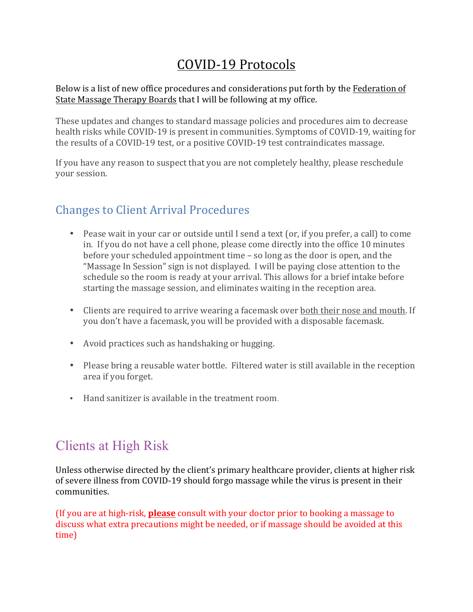## COVID-19 Protocols

## Below is a list of new office procedures and considerations put forth by the Federation of State Massage Therapy Boards that I will be following at my office.

These updates and changes to standard massage policies and procedures aim to decrease health risks while COVID-19 is present in communities. Symptoms of COVID-19, waiting for the results of a COVID-19 test, or a positive COVID-19 test contraindicates massage.

If you have any reason to suspect that you are not completely healthy, please reschedule your session.

## **Changes to Client Arrival Procedures**

- Pease wait in your car or outside until I send a text (or, if you prefer, a call) to come in. If you do not have a cell phone, please come directly into the office 10 minutes before your scheduled appointment time  $-$  so long as the door is open, and the "Massage In Session" sign is not displayed. I will be paying close attention to the schedule so the room is ready at your arrival. This allows for a brief intake before starting the massage session, and eliminates waiting in the reception area.
- Clients are required to arrive wearing a facemask over both their nose and mouth. If you don't have a facemask, you will be provided with a disposable facemask.
- Avoid practices such as handshaking or hugging.
- Please bring a reusable water bottle. Filtered water is still available in the reception area if you forget.
- Hand sanitizer is available in the treatment room.

## Clients at High Risk

Unless otherwise directed by the client's primary healthcare provider, clients at higher risk of severe illness from COVID-19 should forgo massage while the virus is present in their communities.

(If you are at high-risk, **please** consult with your doctor prior to booking a massage to discuss what extra precautions might be needed, or if massage should be avoided at this time)